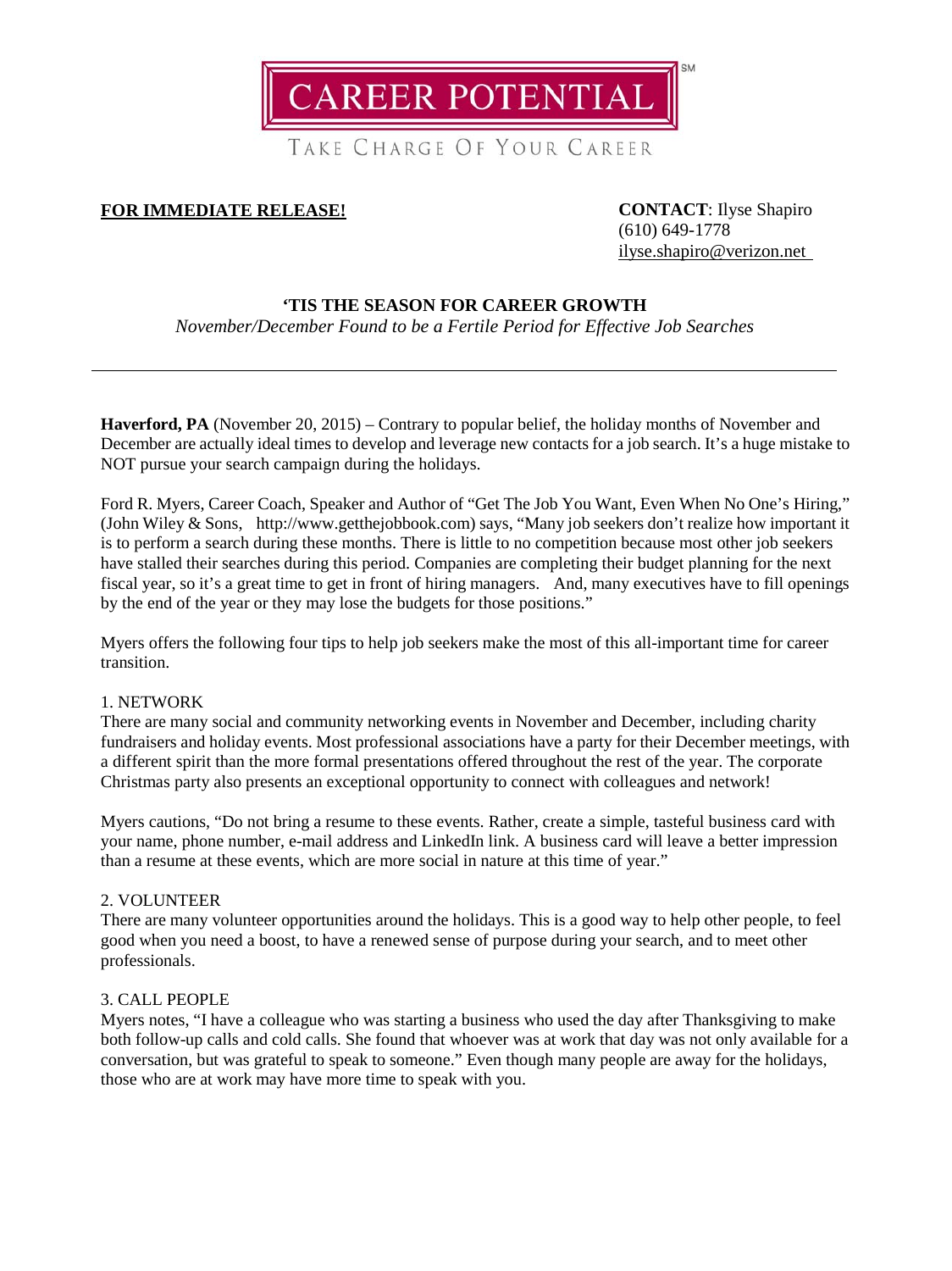**CAREER POTENTIAL** 

TAKE CHARGE OF YOUR CAREER

# **FOR IMMEDIATE RELEASE! CONTACT**: Ilyse Shapiro

(610) 649-1778 [ilyse.shapiro@verizon.net](mailto:ilyse.shapiro@verizon.net)

## **'TIS THE SEASON FOR CAREER GROWTH**

*November/December Found to be a Fertile Period for Effective Job Searches*

Haverford, PA (November 20, 2015) – Contrary to popular belief, the holiday months of November and December are actually ideal times to develop and leverage new contacts for a job search. It's a huge mistake to NOT pursue your search campaign during the holidays.

Ford R. Myers, Career Coach, Speaker and Author of "Get The Job You Want, Even When No One's Hiring," (John Wiley & Sons, http://www.getthejobbook.com) says, "Many job seekers don't realize how important it is to perform a search during these months. There is little to no competition because most other job seekers have stalled their searches during this period. Companies are completing their budget planning for the next fiscal year, so it's a great time to get in front of hiring managers. And, many executives have to fill openings by the end of the year or they may lose the budgets for those positions."

Myers offers the following four tips to help job seekers make the most of this all-important time for career transition.

### 1. NETWORK

There are many social and community networking events in November and December, including charity fundraisers and holiday events. Most professional associations have a party for their December meetings, with a different spirit than the more formal presentations offered throughout the rest of the year. The corporate Christmas party also presents an exceptional opportunity to connect with colleagues and network!

Myers cautions, "Do not bring a resume to these events. Rather, create a simple, tasteful business card with your name, phone number, e-mail address and LinkedIn link. A business card will leave a better impression than a resume at these events, which are more social in nature at this time of year."

## 2. VOLUNTEER

There are many volunteer opportunities around the holidays. This is a good way to help other people, to feel good when you need a boost, to have a renewed sense of purpose during your search, and to meet other professionals.

### 3. CALL PEOPLE

Myers notes, "I have a colleague who was starting a business who used the day after Thanksgiving to make both follow-up calls and cold calls. She found that whoever was at work that day was not only available for a conversation, but was grateful to speak to someone." Even though many people are away for the holidays, those who are at work may have more time to speak with you.